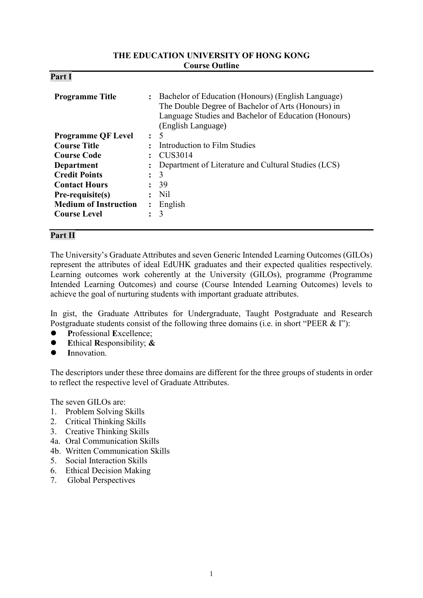#### **THE EDUCATION UNIVERSITY OF HONG KONG Course Outline**

| D.<br>'ar<br>4. |  |
|-----------------|--|
|-----------------|--|

| <b>Programme Title</b>       | $\ddot{\phantom{a}}$ | Bachelor of Education (Honours) (English Language)<br>The Double Degree of Bachelor of Arts (Honours) in<br>Language Studies and Bachelor of Education (Honours)<br>(English Language) |  |  |
|------------------------------|----------------------|----------------------------------------------------------------------------------------------------------------------------------------------------------------------------------------|--|--|
| <b>Programme QF Level</b>    | $\bullet$            | $\overline{\mathcal{L}}$                                                                                                                                                               |  |  |
| <b>Course Title</b>          |                      | Introduction to Film Studies                                                                                                                                                           |  |  |
| <b>Course Code</b>           |                      | CUS3014                                                                                                                                                                                |  |  |
| Department                   |                      | Department of Literature and Cultural Studies (LCS)                                                                                                                                    |  |  |
| <b>Credit Points</b>         | $\ddot{\cdot}$       | 3                                                                                                                                                                                      |  |  |
| <b>Contact Hours</b>         |                      | 39                                                                                                                                                                                     |  |  |
| Pre-requisite(s)             |                      | Nil                                                                                                                                                                                    |  |  |
| <b>Medium of Instruction</b> |                      | English                                                                                                                                                                                |  |  |
| <b>Course Level</b>          |                      | 3                                                                                                                                                                                      |  |  |

# **Part II**

The University's Graduate Attributes and seven Generic Intended Learning Outcomes (GILOs) represent the attributes of ideal EdUHK graduates and their expected qualities respectively. Learning outcomes work coherently at the University (GILOs), programme (Programme Intended Learning Outcomes) and course (Course Intended Learning Outcomes) levels to achieve the goal of nurturing students with important graduate attributes.

In gist, the Graduate Attributes for Undergraduate, Taught Postgraduate and Research Postgraduate students consist of the following three domains (i.e. in short "PEER & I"):

- **P**rofessional **E**xcellence;
- **E**thical **R**esponsibility; **&**
- **I**nnovation.

The descriptors under these three domains are different for the three groups of students in order to reflect the respective level of Graduate Attributes.

The seven GILOs are:

- 1. Problem Solving Skills
- 2. Critical Thinking Skills
- 3. Creative Thinking Skills
- 4a. Oral Communication Skills
- 4b. Written Communication Skills
- 5. Social Interaction Skills
- 6. Ethical Decision Making
- 7. Global Perspectives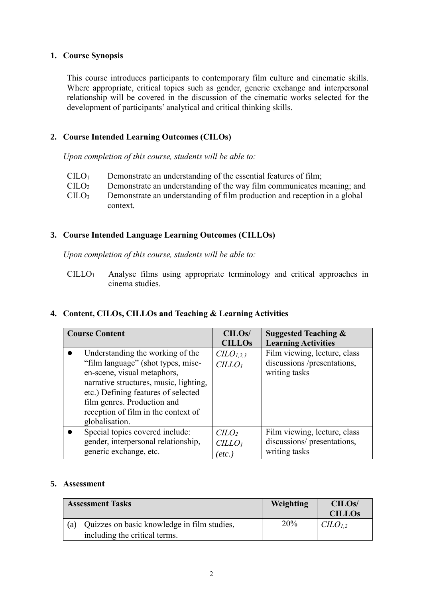## **1. Course Synopsis**

This course introduces participants to contemporary film culture and cinematic skills. Where appropriate, critical topics such as gender, generic exchange and interpersonal relationship will be covered in the discussion of the cinematic works selected for the development of participants' analytical and critical thinking skills.

# **2. Course Intended Learning Outcomes (CILOs)**

*Upon completion of this course, students will be able to:*

 $\text{CIIO}_1$  Demonstrate an understanding of the essential features of film;  $CILO<sub>2</sub>$  $CILO<sub>3</sub>$ Demonstrate an understanding of the way film communicates meaning; and Demonstrate an understanding of film production and reception in a global context.

## **3. Course Intended Language Learning Outcomes (CILLOs)**

*Upon completion of this course, students will be able to:*

CILLO<sup>1</sup> Analyse films using appropriate terminology and critical approaches in cinema studies.

#### **4. Content, CILOs, CILLOs and Teaching & Learning Activities**

| <b>Course Content</b>                  | CILO <sub>s</sub> /  | <b>Suggested Teaching &amp;</b> |
|----------------------------------------|----------------------|---------------------------------|
|                                        | <b>CILLOs</b>        | <b>Learning Activities</b>      |
| Understanding the working of the       | CLO <sub>1,2,3</sub> | Film viewing, lecture, class    |
| "film language" (shot types, mise-     | CILLO <sub>I</sub>   | discussions /presentations,     |
| en-scene, visual metaphors,            |                      | writing tasks                   |
| narrative structures, music, lighting, |                      |                                 |
| etc.) Defining features of selected    |                      |                                 |
| film genres. Production and            |                      |                                 |
| reception of film in the context of    |                      |                                 |
| globalisation.                         |                      |                                 |
| Special topics covered include:        | C <sub>LO</sub>      | Film viewing, lecture, class    |
| gender, interpersonal relationship,    | CILLO <sub>1</sub>   | discussions/presentations,      |
| generic exchange, etc.                 | [etc.]               | writing tasks                   |

# **5. Assessment**

| Weighting<br><b>Assessment Tasks</b>                      | CILOS/<br><b>CILLOS</b>       |
|-----------------------------------------------------------|-------------------------------|
| 20%<br>Quizzes on basic knowledge in film studies,<br>(a) | C <sub>L</sub> O <sub>L</sub> |
| including the critical terms.                             |                               |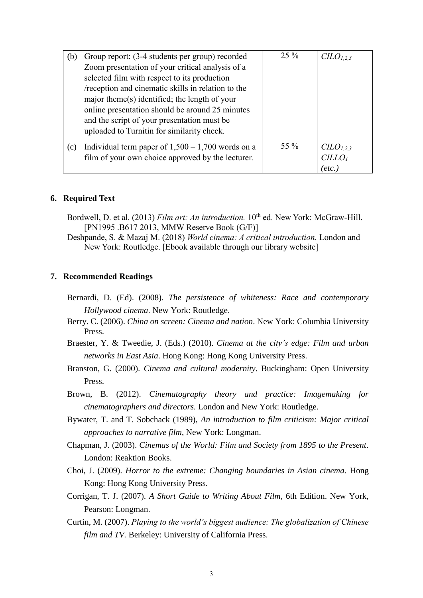| (b) | Group report: (3-4 students per group) recorded     | $25\%$ | C <sub>L</sub> O <sub>L,2,3</sub> |
|-----|-----------------------------------------------------|--------|-----------------------------------|
|     | Zoom presentation of your critical analysis of a    |        |                                   |
|     | selected film with respect to its production        |        |                                   |
|     | /reception and cinematic skills in relation to the  |        |                                   |
|     | major theme(s) identified; the length of your       |        |                                   |
|     | online presentation should be around 25 minutes     |        |                                   |
|     | and the script of your presentation must be         |        |                                   |
|     | uploaded to Turnitin for similarity check.          |        |                                   |
| (c) | Individual term paper of $1,500 - 1,700$ words on a | 55 %   | $CLO_{1,2,3}$                     |
|     | film of your own choice approved by the lecturer.   |        | CILLO                             |
|     |                                                     |        | etc.                              |

#### **6. Required Text**

- Bordwell, D. et al. (2013) *Film art: An introduction*. 10<sup>th</sup> ed. New York: McGraw-Hill. [PN1995 .B617 2013, MMW Reserve Book (G/F)]
- Deshpande, S. & Mazaj M. (2018) *World cinema: A critical introduction.* London and New York: Routledge. [Ebook available through our library website]

#### **7. Recommended Readings**

- Bernardi, D. (Ed). (2008). *The persistence of whiteness: Race and contemporary Hollywood cinema*. New York: Routledge.
- Berry. C. (2006). *China on screen: Cinema and nation*. New York: Columbia University Press.
- Braester, Y. & Tweedie, J. (Eds.) (2010). *Cinema at the city's edge: Film and urban networks in East Asia*. Hong Kong: Hong Kong University Press.
- Branston, G. (2000). *Cinema and cultural modernity*. Buckingham: Open University Press.
- Brown, B. (2012). *Cinematography theory and practice: Imagemaking for cinematographers and directors.* London and New York: Routledge.
- Bywater, T. and T. Sobchack (1989), *An introduction to film criticism: Major critical approaches to narrative film*, New York: Longman.
- Chapman, J. (2003). *Cinemas of the World: Film and Society from 1895 to the Present*. London: Reaktion Books.
- Choi, J. (2009). *Horror to the extreme: Changing boundaries in Asian cinema*. Hong Kong: Hong Kong University Press.
- Corrigan, T. J. (2007). *A Short Guide to Writing About Film*, 6th Edition. New York, Pearson: Longman.
- Curtin, M. (2007). *Playing to the world's biggest audience: The globalization of Chinese film and TV.* Berkeley: University of California Press.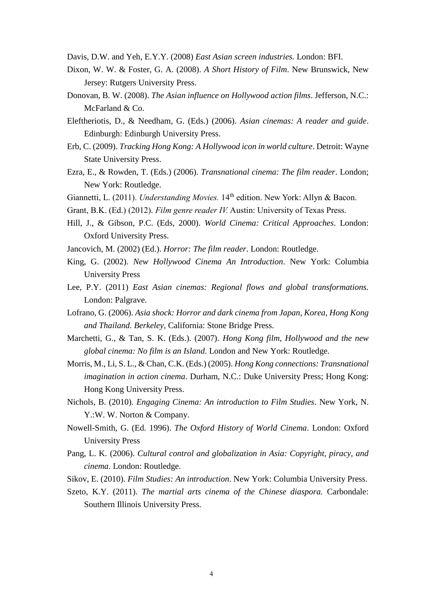- Davis, D.W. and Yeh, E.Y.Y. (2008) *East Asian screen industries.* London: BFI.
- Dixon, W. W. & Foster, G. A. (2008). *A Short History of Film*. New Brunswick, New Jersey: Rutgers University Press.
- Donovan, B. W. (2008). *The Asian influence on Hollywood action films*. Jefferson, N.C.: McFarland & Co.
- Eleftheriotis, D., & Needham, G. (Eds.) (2006). *Asian cinemas: A reader and guide*. Edinburgh: Edinburgh University Press.
- Erb, C. (2009). *Tracking Hong Kong: A Hollywood icon in world culture*. Detroit: Wayne State University Press.
- Ezra, E., & Rowden, T. (Eds.) (2006). *Transnational cinema: The film reader*. London; New York: Routledge.
- Giannetti, L. (2011). *Understanding Movies.* 14th edition. New York: Allyn & Bacon.
- Grant, B.K. (Ed.) (2012). *Film genre reader IV.* Austin: University of Texas Press.
- Hill, J., & Gibson, P.C. (Eds, 2000). *World Cinema: Critical Approaches*. London: Oxford University Press.
- Jancovich, M. (2002) (Ed.). *Horror: The film reader*. London: Routledge.
- King, G. (2002). *New Hollywood Cinema An Introduction*. New York: Columbia University Press
- Lee, P.Y. (2011) *East Asian cinemas: Regional flows and global transformations.* London: Palgrave.
- Lofrano, G. (2006). *Asia shock: Horror and dark cinema from Japan, Korea, Hong Kong and Thailand. Berkeley*, California: Stone Bridge Press.
- Marchetti, G., & Tan, S. K. (Eds.). (2007). *Hong Kong film, Hollywood and the new global cinema: No film is an Island*. London and New York: Routledge.
- Morris, M., Li, S. L., & Chan, C.K. (Eds.) (2005). *Hong Kong connections: Transnational imagination in action cinema*. Durham, N.C.: Duke University Press; Hong Kong: Hong Kong University Press.
- Nichols, B. (2010). *Engaging Cinema: An introduction to Film Studies*. New York, N. Y.:W. W. Norton & Company.
- Nowell-Smith, G. (Ed. 1996). *The Oxford History of World Cinema*. London: Oxford University Press
- Pang, L. K. (2006). *Cultural control and globalization in Asia: Copyright, piracy, and cinema*. London: Routledge.
- Sikov, E. (2010). *Film Studies: An introduction*. New York: Columbia University Press.
- Szeto, K.Y. (2011). *The martial arts cinema of the Chinese diaspora.* Carbondale: Southern Illinois University Press.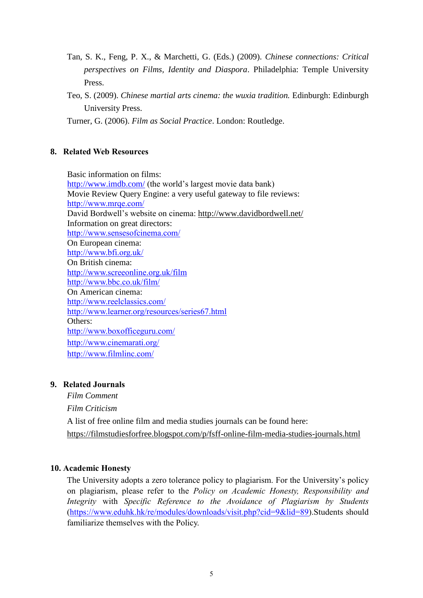- Tan, S. K., Feng, P. X., & Marchetti, G. (Eds.) (2009). *Chinese connections: Critical perspectives on Films, Identity and Diaspora*. Philadelphia: Temple University Press.
- Teo, S. (2009). *Chinese martial arts cinema: the wuxia tradition.* Edinburgh: Edinburgh University Press.

Turner, G. (2006). *Film as Social Practice*. London: Routledge.

## **8. Related Web Resources**

Basic information on films: <http://www.imdb.com/> (the world's largest movie data bank) Movie Review Query Engine: a very useful gateway to file reviews: <http://www.mrqe.com/> David Bordwell's website on cinema:<http://www.davidbordwell.net/> Information on great directors: <http://www.sensesofcinema.com/> On European cinema: <http://www.bfi.org.uk/> On British cinema: <http://www.screeonline.org.uk/film> <http://www.bbc.co.uk/film/> On American cinema: <http://www.reelclassics.com/> <http://www.learner.org/resources/series67.html> Others: <http://www.boxofficeguru.com/> <http://www.cinemarati.org/> <http://www.filmlinc.com/>

# **9. Related Journals**

*Film Comment Film Criticism* A list of free online film and media studies journals can be found here: <https://filmstudiesforfree.blogspot.com/p/fsff-online-film-media-studies-journals.html>

# **10. Academic Honesty**

The University adopts a zero tolerance policy to plagiarism. For the University's policy on plagiarism, please refer to the *Policy on Academic Honesty, Responsibility and Integrity* with *Specific Reference to the Avoidance of Plagiarism by Students*  [\(https://www.eduhk.hk/re/modules/downloads/visit.php?cid=9&lid=89\)](https://www.eduhk.hk/re/modules/downloads/visit.php?cid=9&lid=89).Students should familiarize themselves with the Policy.